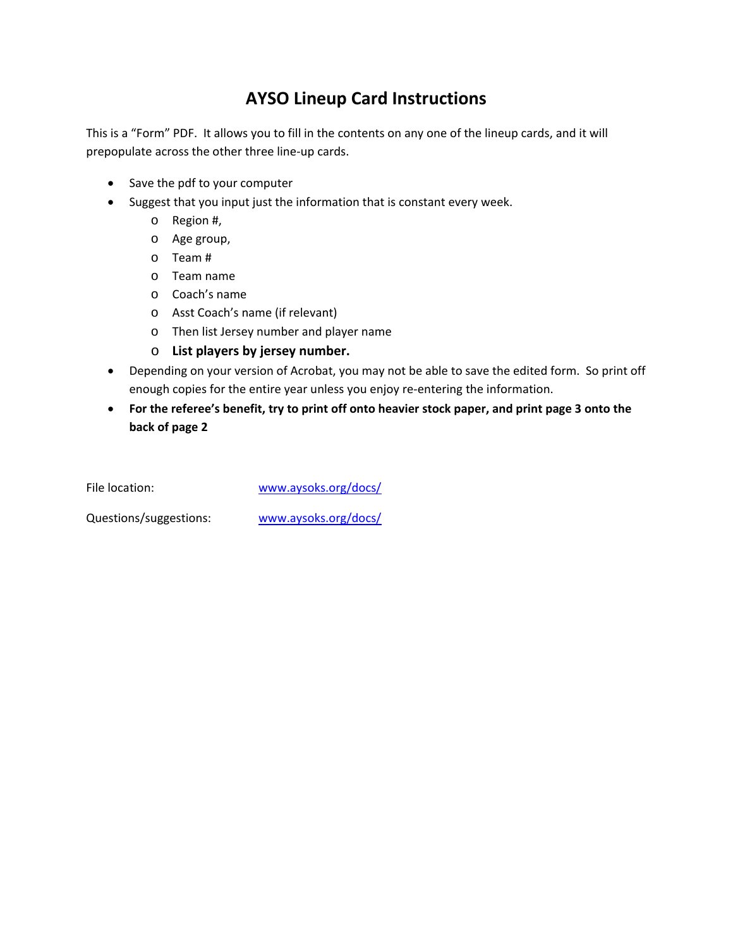## **AYSO Lineup Card Instructions**

This is a "Form" PDF. It allows you to fill in the contents on any one of the lineup cards, and it will prepopulate across the other three line-up cards.

- Save the pdf to your computer
- Suggest that you input just the information that is constant every week.
	- o Region #,
	- o Age group,
	- o Team #
	- o Team name
	- o Coach's name
	- o Asst Coach's name (if relevant)
	- o Then list Jersey number and player name
	- o **List players by jersey number.**
- Depending on your version of Acrobat, you may not be able to save the edited form. So print off enough copies for the entire year unless you enjoy re-entering the information.
- **For the referee's benefit, try to print off onto heavier stock paper, and print page 3 onto the back of page 2**

File location: [www.aysoks.org/docs/](http://www.aysoks.org/docs/)

Questions/suggestions: [www.aysoks.org/docs/](http://www.aysoks.org/docs/)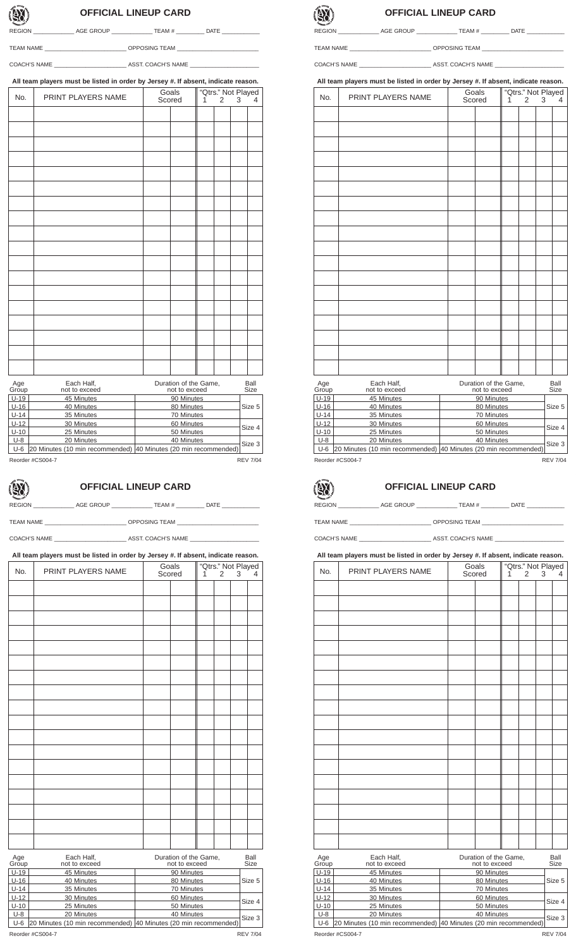## **OFFICIAL LINEUP CARD**

REGION \_\_\_\_\_\_\_\_\_\_\_\_\_\_\_\_\_\_\_\_ AGE GROUP \_\_\_\_\_\_\_\_\_\_\_\_\_\_\_\_\_ TEAM # \_\_\_\_\_\_\_\_\_\_\_ DATE \_\_\_

TEAM NAME \_\_\_\_\_\_\_\_\_\_\_\_\_\_\_\_\_\_\_\_\_\_\_\_\_\_ OPPOSING TEAM \_\_\_\_\_\_\_\_\_\_\_\_\_\_\_\_\_\_\_\_\_\_\_\_\_\_

COACH'S NAME \_\_\_\_\_\_\_\_\_\_\_\_\_\_\_\_\_\_\_\_\_\_\_ ASST. COACH'S NAME \_\_\_\_\_\_\_\_\_\_\_\_\_\_\_\_\_\_\_\_\_\_

**All team players must be listed in order by Jersey #. If absent, indicate reason.**

| No.               | PRINT PLAYERS NAME            | Goals<br>Scored | $\mathbf{1}$            | "Qtrs." Not Played<br>$\overline{2}$<br>3<br>$\overline{4}$ |  |              |  |
|-------------------|-------------------------------|-----------------|-------------------------|-------------------------------------------------------------|--|--------------|--|
|                   |                               |                 |                         |                                                             |  |              |  |
|                   |                               |                 |                         |                                                             |  |              |  |
|                   |                               |                 |                         |                                                             |  |              |  |
|                   |                               |                 |                         |                                                             |  |              |  |
|                   |                               |                 |                         |                                                             |  |              |  |
|                   |                               |                 |                         |                                                             |  |              |  |
|                   |                               |                 |                         |                                                             |  |              |  |
|                   |                               |                 |                         |                                                             |  |              |  |
|                   |                               |                 |                         |                                                             |  |              |  |
|                   |                               |                 |                         |                                                             |  |              |  |
|                   |                               |                 |                         |                                                             |  |              |  |
|                   |                               |                 |                         |                                                             |  |              |  |
|                   |                               |                 |                         |                                                             |  |              |  |
|                   |                               |                 |                         |                                                             |  |              |  |
|                   |                               |                 |                         |                                                             |  |              |  |
|                   |                               |                 |                         |                                                             |  |              |  |
|                   |                               |                 |                         |                                                             |  |              |  |
|                   |                               |                 |                         |                                                             |  |              |  |
| Age<br>Group      | Each Half,                    |                 | Duration of the Game,   |                                                             |  | Ball<br>Size |  |
| $\overline{1140}$ | not to exceed<br>$AE$ Minutes |                 | not to exceed<br>00 M/m |                                                             |  |              |  |

| UUUP   | TIUL IU GAUGGU                                                   | TIUL IU GAUGGU | ◡៲∠⊏            |
|--------|------------------------------------------------------------------|----------------|-----------------|
| $U-19$ | 45 Minutes                                                       | 90 Minutes     |                 |
| $U-16$ | 40 Minutes                                                       | 80 Minutes     | Size 5          |
| $U-14$ | 35 Minutes                                                       | 70 Minutes     |                 |
| $U-12$ | 30 Minutes                                                       | 60 Minutes     |                 |
| $U-10$ | 25 Minutes                                                       | 50 Minutes     | Size 4          |
| $U-8$  | 20 Minutes                                                       | 40 Minutes     |                 |
| $U-6$  | [20 Minutes (10 min recommended) 40 Minutes (20 min recommended) |                | Size 3          |
|        | Reorder #CS004-7                                                 |                | <b>REV 7/04</b> |

## **OFFICIAL LINEUP CARD**

REGION \_\_\_\_\_\_\_\_\_\_\_\_\_\_\_\_ AGE GROUP \_\_\_\_\_\_\_\_\_\_\_\_\_\_\_\_ TEAM # \_\_\_\_\_\_\_\_\_\_ DATE \_\_\_\_\_\_

COACH'S NAME \_\_\_\_\_\_\_\_\_\_\_\_\_\_\_\_\_\_\_\_\_\_\_ ASST. COACH'S NAME \_\_\_\_\_\_\_\_\_\_\_\_\_\_\_\_\_\_\_\_\_\_

TEAM NAME \_\_\_\_\_\_\_\_\_\_\_\_\_\_\_\_\_\_\_\_\_\_\_\_\_\_ OPPOSING TEAM \_\_\_\_\_\_\_\_\_\_\_\_\_\_\_\_\_\_\_\_\_\_\_\_\_\_

**All team players must be listed in order by Jersey #. If absent, indicate reason.**

| Each Half,<br>Duration of the Game,<br>Age<br>Ball<br>not to exceed<br>not to exceed<br>Size<br>Group<br>$U-19$<br>45 Minutes<br>90 Minutes<br>$U-16$<br>Size 5<br>40 Minutes<br>80 Minutes<br>$U-14$<br>70 Minutes<br>35 Minutes<br>$U-12$<br>60 Minutes<br>30 Minutes<br>Size 4<br>$U-10$<br>25 Minutes<br>50 Minutes<br>$U-8$<br>20 Minutes<br>40 Minutes<br>Size 3<br>20 Minutes (10 min recommended)<br>40 Minutes (20 min recommended)<br>$U-6$<br>Reorder #CS004-7<br><b>REV 7/04</b> | No. | PRINT PLAYERS NAME | Goals<br>Scored | "Qtrs." Not Played<br>1<br>2<br>3 |  |  | 4 |  |
|----------------------------------------------------------------------------------------------------------------------------------------------------------------------------------------------------------------------------------------------------------------------------------------------------------------------------------------------------------------------------------------------------------------------------------------------------------------------------------------------|-----|--------------------|-----------------|-----------------------------------|--|--|---|--|
|                                                                                                                                                                                                                                                                                                                                                                                                                                                                                              |     |                    |                 |                                   |  |  |   |  |
|                                                                                                                                                                                                                                                                                                                                                                                                                                                                                              |     |                    |                 |                                   |  |  |   |  |
|                                                                                                                                                                                                                                                                                                                                                                                                                                                                                              |     |                    |                 |                                   |  |  |   |  |
|                                                                                                                                                                                                                                                                                                                                                                                                                                                                                              |     |                    |                 |                                   |  |  |   |  |
|                                                                                                                                                                                                                                                                                                                                                                                                                                                                                              |     |                    |                 |                                   |  |  |   |  |
|                                                                                                                                                                                                                                                                                                                                                                                                                                                                                              |     |                    |                 |                                   |  |  |   |  |
|                                                                                                                                                                                                                                                                                                                                                                                                                                                                                              |     |                    |                 |                                   |  |  |   |  |
|                                                                                                                                                                                                                                                                                                                                                                                                                                                                                              |     |                    |                 |                                   |  |  |   |  |
|                                                                                                                                                                                                                                                                                                                                                                                                                                                                                              |     |                    |                 |                                   |  |  |   |  |
|                                                                                                                                                                                                                                                                                                                                                                                                                                                                                              |     |                    |                 |                                   |  |  |   |  |
|                                                                                                                                                                                                                                                                                                                                                                                                                                                                                              |     |                    |                 |                                   |  |  |   |  |
|                                                                                                                                                                                                                                                                                                                                                                                                                                                                                              |     |                    |                 |                                   |  |  |   |  |
|                                                                                                                                                                                                                                                                                                                                                                                                                                                                                              |     |                    |                 |                                   |  |  |   |  |
|                                                                                                                                                                                                                                                                                                                                                                                                                                                                                              |     |                    |                 |                                   |  |  |   |  |
|                                                                                                                                                                                                                                                                                                                                                                                                                                                                                              |     |                    |                 |                                   |  |  |   |  |
|                                                                                                                                                                                                                                                                                                                                                                                                                                                                                              |     |                    |                 |                                   |  |  |   |  |
|                                                                                                                                                                                                                                                                                                                                                                                                                                                                                              |     |                    |                 |                                   |  |  |   |  |
|                                                                                                                                                                                                                                                                                                                                                                                                                                                                                              |     |                    |                 |                                   |  |  |   |  |
|                                                                                                                                                                                                                                                                                                                                                                                                                                                                                              |     |                    |                 |                                   |  |  |   |  |
|                                                                                                                                                                                                                                                                                                                                                                                                                                                                                              |     |                    |                 |                                   |  |  |   |  |
|                                                                                                                                                                                                                                                                                                                                                                                                                                                                                              |     |                    |                 |                                   |  |  |   |  |
|                                                                                                                                                                                                                                                                                                                                                                                                                                                                                              |     |                    |                 |                                   |  |  |   |  |
|                                                                                                                                                                                                                                                                                                                                                                                                                                                                                              |     |                    |                 |                                   |  |  |   |  |
|                                                                                                                                                                                                                                                                                                                                                                                                                                                                                              |     |                    |                 |                                   |  |  |   |  |
|                                                                                                                                                                                                                                                                                                                                                                                                                                                                                              |     |                    |                 |                                   |  |  |   |  |
|                                                                                                                                                                                                                                                                                                                                                                                                                                                                                              |     |                    |                 |                                   |  |  |   |  |
|                                                                                                                                                                                                                                                                                                                                                                                                                                                                                              |     |                    |                 |                                   |  |  |   |  |
|                                                                                                                                                                                                                                                                                                                                                                                                                                                                                              |     |                    |                 |                                   |  |  |   |  |
|                                                                                                                                                                                                                                                                                                                                                                                                                                                                                              |     |                    |                 |                                   |  |  |   |  |
|                                                                                                                                                                                                                                                                                                                                                                                                                                                                                              |     |                    |                 |                                   |  |  |   |  |
|                                                                                                                                                                                                                                                                                                                                                                                                                                                                                              |     |                    |                 |                                   |  |  |   |  |
|                                                                                                                                                                                                                                                                                                                                                                                                                                                                                              |     |                    |                 |                                   |  |  |   |  |
|                                                                                                                                                                                                                                                                                                                                                                                                                                                                                              |     |                    |                 |                                   |  |  |   |  |
|                                                                                                                                                                                                                                                                                                                                                                                                                                                                                              |     |                    |                 |                                   |  |  |   |  |
|                                                                                                                                                                                                                                                                                                                                                                                                                                                                                              |     |                    |                 |                                   |  |  |   |  |
|                                                                                                                                                                                                                                                                                                                                                                                                                                                                                              |     |                    |                 |                                   |  |  |   |  |



## **OFFICIAL LINEUP CARD**

REGION \_\_\_\_\_\_\_\_\_\_\_\_\_\_\_\_\_ AGE GROUP \_\_\_\_\_\_\_\_\_\_\_\_\_\_\_\_ TEAM # \_\_\_\_\_\_\_\_\_\_ DATE \_\_\_\_

TEAM NAME \_\_\_\_\_\_\_\_\_\_\_\_\_\_\_\_\_\_\_\_\_\_\_\_\_\_ OPPOSING TEAM \_\_\_\_\_\_\_\_\_\_\_\_\_\_\_\_\_\_\_\_\_\_\_\_\_\_

COACH'S NAME \_\_\_\_\_\_\_\_\_\_\_\_\_\_\_\_\_\_\_\_\_\_\_ ASST. COACH'S NAME \_\_\_\_\_\_\_\_\_\_\_\_\_\_\_\_\_\_\_\_\_\_ **All team players must be listed in order by Jersey #. If absent, indicate reason.**

| No.              | An want players must be nawa in order by octacy $\pi$ , if abount, multate reason.<br>PRINT PLAYERS NAME |  | Goals<br>Scored                        | "Qtrs." Not Played<br>3<br>1<br>2 |  |  | 4            |
|------------------|----------------------------------------------------------------------------------------------------------|--|----------------------------------------|-----------------------------------|--|--|--------------|
|                  |                                                                                                          |  |                                        |                                   |  |  |              |
|                  |                                                                                                          |  |                                        |                                   |  |  |              |
|                  |                                                                                                          |  |                                        |                                   |  |  |              |
|                  |                                                                                                          |  |                                        |                                   |  |  |              |
|                  |                                                                                                          |  |                                        |                                   |  |  |              |
|                  |                                                                                                          |  |                                        |                                   |  |  |              |
|                  |                                                                                                          |  |                                        |                                   |  |  |              |
|                  |                                                                                                          |  |                                        |                                   |  |  |              |
|                  |                                                                                                          |  |                                        |                                   |  |  |              |
|                  |                                                                                                          |  |                                        |                                   |  |  |              |
|                  |                                                                                                          |  |                                        |                                   |  |  |              |
|                  |                                                                                                          |  |                                        |                                   |  |  |              |
|                  |                                                                                                          |  |                                        |                                   |  |  |              |
|                  |                                                                                                          |  |                                        |                                   |  |  |              |
|                  |                                                                                                          |  |                                        |                                   |  |  |              |
|                  |                                                                                                          |  |                                        |                                   |  |  |              |
|                  |                                                                                                          |  |                                        |                                   |  |  |              |
|                  |                                                                                                          |  |                                        |                                   |  |  |              |
|                  |                                                                                                          |  |                                        |                                   |  |  |              |
|                  |                                                                                                          |  |                                        |                                   |  |  |              |
|                  |                                                                                                          |  |                                        |                                   |  |  |              |
|                  |                                                                                                          |  |                                        |                                   |  |  |              |
|                  |                                                                                                          |  |                                        |                                   |  |  |              |
|                  |                                                                                                          |  |                                        |                                   |  |  |              |
|                  |                                                                                                          |  |                                        |                                   |  |  |              |
| Age<br>Group     | Each Half,<br>not to exceed                                                                              |  | Duration of the Game,<br>not to exceed |                                   |  |  | Ball<br>Size |
| $U-19$           | 45 Minutes                                                                                               |  | 90 Minutes                             |                                   |  |  |              |
| $U-16$           | 40 Minutes                                                                                               |  | 80 Minutes                             |                                   |  |  | Size 5       |
| $U-14$           | 35 Minutes                                                                                               |  | 70 Minutes                             |                                   |  |  |              |
| $U-12$<br>$U-10$ | 30 Minutes<br>25 Minutes                                                                                 |  | 60 Minutes<br>50 Minutes               |                                   |  |  | Size 4       |
| $U-8$            | 20 Minutes                                                                                               |  | 40 Minutes                             |                                   |  |  |              |
| $U-6$            | 20 Minutes (10 min recommended) 40 Minutes (20 min recommended)                                          |  |                                        |                                   |  |  | Size 3       |

Reorder #CS004-7 Rev 7/04

(BY)

## **OFFICIAL LINEUP CARD**

REGION \_\_\_\_\_\_\_\_\_\_\_\_\_\_\_\_ AGE GROUP \_\_\_\_\_\_\_\_\_\_\_\_\_\_\_ TEAM # \_\_\_\_\_\_\_\_\_\_ DATE \_\_

TEAM NAME \_\_\_\_\_\_\_\_\_\_\_\_\_\_\_\_\_\_\_\_\_\_\_\_\_\_ OPPOSING TEAM \_\_\_\_\_\_\_\_\_\_\_\_\_\_\_\_\_\_\_\_\_\_\_\_\_\_

COACH'S NAME \_\_\_\_\_\_\_\_\_\_\_\_\_\_\_\_\_\_\_\_\_\_\_\_\_\_\_\_\_\_\_\_\_\_\_ ASST. COACH'S NAME \_\_\_

## **All team players must be listed in order by Jersey #. If absent, indicate reason.**

| No.             | PRINT PLAYERS NAME              | Goals<br>Scored<br>1<br>2       |                                        |  |  | "Qtrs." Not Played<br>3<br>4 |              |
|-----------------|---------------------------------|---------------------------------|----------------------------------------|--|--|------------------------------|--------------|
|                 |                                 |                                 |                                        |  |  |                              |              |
|                 |                                 |                                 |                                        |  |  |                              |              |
|                 |                                 |                                 |                                        |  |  |                              |              |
|                 |                                 |                                 |                                        |  |  |                              |              |
|                 |                                 |                                 |                                        |  |  |                              |              |
|                 |                                 |                                 |                                        |  |  |                              |              |
|                 |                                 |                                 |                                        |  |  |                              |              |
|                 |                                 |                                 |                                        |  |  |                              |              |
|                 |                                 |                                 |                                        |  |  |                              |              |
|                 |                                 |                                 |                                        |  |  |                              |              |
|                 |                                 |                                 |                                        |  |  |                              |              |
|                 |                                 |                                 |                                        |  |  |                              |              |
|                 |                                 |                                 |                                        |  |  |                              |              |
|                 |                                 |                                 |                                        |  |  |                              |              |
|                 |                                 |                                 |                                        |  |  |                              |              |
|                 |                                 |                                 |                                        |  |  |                              |              |
|                 |                                 |                                 |                                        |  |  |                              |              |
|                 |                                 |                                 |                                        |  |  |                              |              |
|                 |                                 |                                 |                                        |  |  |                              |              |
|                 |                                 |                                 |                                        |  |  |                              |              |
|                 |                                 |                                 |                                        |  |  |                              |              |
|                 |                                 |                                 |                                        |  |  |                              |              |
|                 |                                 |                                 |                                        |  |  |                              |              |
|                 |                                 |                                 |                                        |  |  |                              |              |
|                 |                                 |                                 |                                        |  |  |                              |              |
|                 |                                 |                                 |                                        |  |  |                              |              |
|                 |                                 |                                 |                                        |  |  |                              |              |
| Age<br>Group    | Each Half.<br>not to exceed     |                                 | Duration of the Game,<br>not to exceed |  |  |                              | Ball<br>Size |
| $U-19$          | 45 Minutes                      |                                 | 90 Minutes                             |  |  |                              |              |
| $U-16$          | 40 Minutes                      |                                 | 80 Minutes                             |  |  |                              | Size 5       |
| $U-14$          | 35 Minutes                      |                                 | 70 Minutes                             |  |  |                              |              |
| $U-12$          | 30 Minutes                      |                                 | 60 Minutes                             |  |  |                              | Size 4       |
| $U-10$<br>$U-8$ | 25 Minutes<br>20 Minutes        |                                 | 50 Minutes<br>40 Minutes               |  |  |                              |              |
| $U-6$           | 20 Minutes (10 min recommended) | 40 Minutes (20 min recommended) |                                        |  |  |                              | Size 3       |